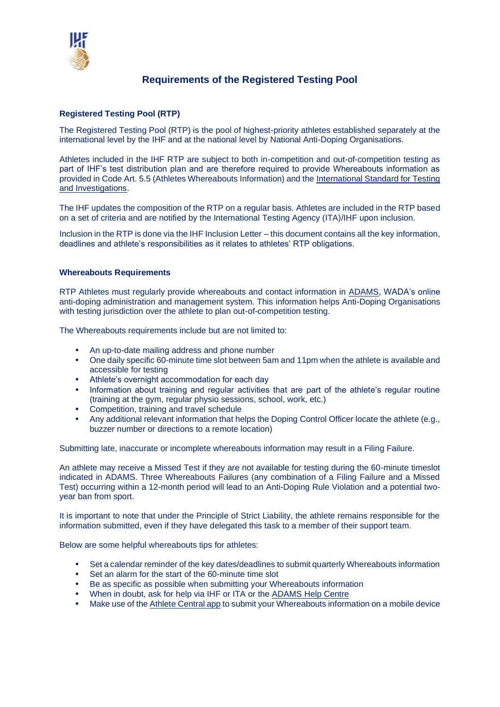

## **Requirements of the Registered Testing Pool**

## **Registered Testing Pool (RTP)**

The Registered Testing Pool (RTP) is the pool of highest-priority athletes established separately at the international level by the IHF and at the national level by National Anti-Doping Organisations.

Athletes included in the IHF RTP are subject to both in-competition and out-of-competition testing as part of IHF's test distribution plan and are therefore required to provide Whereabouts information as provided in Code Art. 5.5 (Athletes Whereabouts Information) and the [International Standard for Testing](https://www.wada-ama.org/en/resources/world-anti-doping-program/international-standard-for-testing-and-investigations-isti)  [and Investigations.](https://www.wada-ama.org/en/resources/world-anti-doping-program/international-standard-for-testing-and-investigations-isti)

The IHF updates the composition of the RTP on a regular basis. Athletes are included in the RTP based on a set of criteria and are notified by the International Testing Agency (ITA)/IHF upon inclusion.

Inclusion in the RTP is done via the IHF Inclusion Letter – this document contains all the key information, deadlines and athlete's responsibilities as it relates to athletes' RTP obligations.

## **Whereabouts Requirements**

RTP Athletes must regularly provide whereabouts and contact information in [ADAMS,](https://adams.wada-ama.org/adams/login.do?prompt=true&nopopup=true) WADA's online anti-doping administration and management system. This information helps Anti-Doping Organisations with testing jurisdiction over the athlete to plan out-of-competition testing.

The Whereabouts requirements include but are not limited to:

- An up-to-date mailing address and phone number
- One daily specific 60-minute time slot between 5am and 11pm when the athlete is available and accessible for testing
- Athlete's overnight accommodation for each day
- Information about training and regular activities that are part of the athlete's regular routine (training at the gym, regular physio sessions, school, work, etc.)
- Competition, training and travel schedule
- Any additional relevant information that helps the Doping Control Officer locate the athlete (e.g., buzzer number or directions to a remote location)

Submitting late, inaccurate or incomplete whereabouts information may result in a Filing Failure.

An athlete may receive a Missed Test if they are not available for testing during the 60-minute timeslot indicated in ADAMS. Three Whereabouts Failures (any combination of a Filing Failure and a Missed Test) occurring within a 12-month period will lead to an Anti-Doping Rule Violation and a potential twoyear ban from sport.

It is important to note that under the Principle of Strict Liability, the athlete remains responsible for the information submitted, even if they have delegated this task to a member of their support team.

Below are some helpful whereabouts tips for athletes:

- Set a calendar reminder of the key dates/deadlines to submit quarterly Whereabouts information
- Set an alarm for the start of the 60-minute time slot
- Be as specific as possible when submitting your Whereabouts information
- When in doubt, ask for help via IHF or ITA or the [ADAMS Help Centre](https://adams-help.wada-ama.org/hc/en-us)
- Make use of th[e Athlete Central app](https://www.wada-ama.org/en/what-we-do/adams/adams-next-gen/athlete-central?gclid=EAIaIQobChMIpoC59aec8QIVSuN3Ch2q-QDtEAAYASAAEgL4n_D_BwE) to submit your Whereabouts information on a mobile device